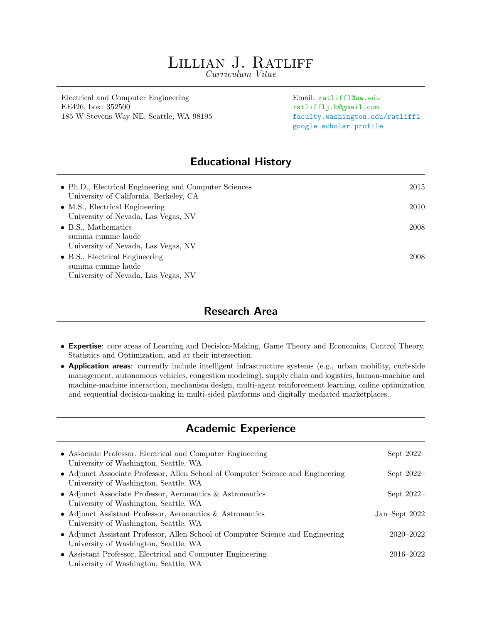# LILLIAN J. RATLIFF

Curriculum Vitae

Electrical and Computer Engineering Email: ratliffl@uw.edu EE426, box: 352500 ratlifflj.b@gmail.com 185 W Stevens Way NE, Seattle, WA 98195 [faculty.washington.edu/ratliffl](https://faculty.washington.edu/ratliffl/)

[google scholar profile](https://scholar.google.com/citations?hl=en&user=LVPkbeYAAAAJ&view_op=list_works)

# Educational History

| • Ph.D., Electrical Engineering and Computer Sciences | 2015 |
|-------------------------------------------------------|------|
| University of California, Berkeley, CA                |      |
| $\bullet$ M.S., Electrical Engineering                | 2010 |
| University of Nevada, Las Vegas, NV                   |      |
| $\bullet$ B.S., Mathematics                           | 2008 |
| summa cumme laude                                     |      |
| University of Nevada, Las Vegas, NV                   |      |
| $\bullet$ B.S., Electrical Engineering                | 2008 |
| summa cumme laude                                     |      |
| University of Nevada, Las Vegas, NV                   |      |

## Research Area

- Expertise: core areas of Learning and Decision-Making, Game Theory and Economics, Control Theory, Statistics and Optimization, and at their intersection.
- Application areas: currently include intelligent infrastructure systems (e.g., urban mobility, curb-side management, autonomous vehicles, congestion modeling), supply chain and logistics, human-machine and machine-machine interaction, mechanism design, multi-agent reinforcement learning, online optimization and sequential decision-making in multi-sided platforms and digitally mediated marketplaces.

## Academic Experience

| • Associate Professor, Electrical and Computer Engineering<br>University of Washington, Seattle, WA                      | Sept $2022-$    |
|--------------------------------------------------------------------------------------------------------------------------|-----------------|
| • Adjunct Associate Professor, Allen School of Computer Science and Engineering<br>University of Washington, Seattle, WA | Sept $2022-$    |
| • Adjunct Associate Professor, Aeronautics & Astronautics<br>University of Washington, Seattle, WA                       | Sept $2022-$    |
| • Adjunct Assistant Professor, Aeronautics & Astronautics<br>University of Washington, Seattle, WA                       | Jan-Sept $2022$ |
| • Adjunct Assistant Professor, Allen School of Computer Science and Engineering<br>University of Washington, Seattle, WA | $2020 - 2022$   |
| • Assistant Professor, Electrical and Computer Engineering<br>University of Washington, Seattle, WA                      | 2016–2022       |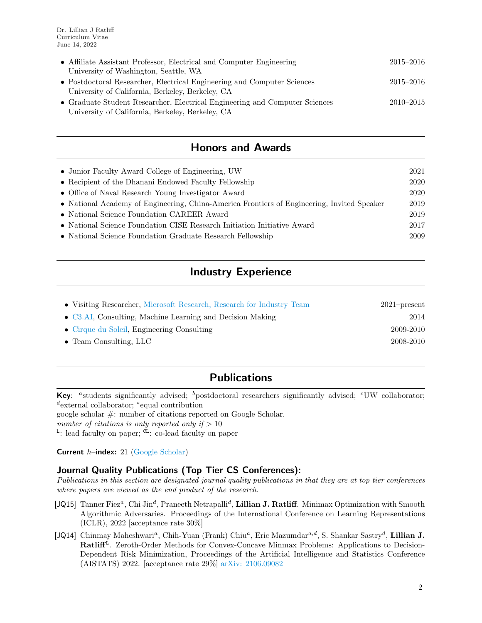| • Affiliate Assistant Professor, Electrical and Computer Engineering<br>University of Washington, Seattle, WA | $2015 - 2016$ |
|---------------------------------------------------------------------------------------------------------------|---------------|
| • Postdoctoral Researcher, Electrical Engineering and Computer Sciences                                       | $2015 - 2016$ |
| University of California, Berkeley, Berkeley, CA                                                              |               |
| • Graduate Student Researcher, Electrical Engineering and Computer Sciences                                   | $2010 - 2015$ |
| University of California, Berkeley, Berkeley, CA                                                              |               |

# Honors and Awards

| • Junior Faculty Award College of Engineering, UW                                          | 2021 |
|--------------------------------------------------------------------------------------------|------|
| • Recipient of the Dhanani Endowed Faculty Fellowship                                      | 2020 |
| • Office of Naval Research Young Investigator Award                                        | 2020 |
| • National Academy of Engineering, China-America Frontiers of Engineering, Invited Speaker | 2019 |
| • National Science Foundation CAREER Award                                                 | 2019 |
| • National Science Foundation CISE Research Initiation Initiative Award                    | 2017 |
| • National Science Foundation Graduate Research Fellowship                                 | 2009 |
|                                                                                            |      |

# Industry Experience

| • Visiting Researcher, Microsoft Research, Research for Industry Team | $2021$ -present |
|-----------------------------------------------------------------------|-----------------|
| $\bullet$ C3.AI, Consulting, Machine Learning and Decision Making     | 2014            |
| • Cirque du Soleil, Engineering Consulting                            | 2009-2010       |
| $\bullet$ Team Consulting, LLC                                        | 2008-2010       |

# Publications

Key: "students significantly advised;  $\bar{b}$  postdoctoral researchers significantly advised;  $\bar{c}$  UW collaborator; d external collaborator; <sup>∗</sup> equal contribution google scholar #: number of citations reported on Google Scholar.

number of citations is only reported only if  $> 10$ 

<sup>L</sup>: lead faculty on paper; <sup>CL</sup>: co-lead faculty on paper

**Current**  $h$ –index: 21 [\(Google Scholar\)](https://scholar.google.com/citations?user=LVPkbeYAAAAJ&hl=en&authuser=2)

### Journal Quality Publications (Top Tier CS Conferences):

Publications in this section are designated journal quality publications in that they are at top tier conferences where papers are viewed as the end product of the research.

- [JQ15] Tanner Fiez<sup>a</sup>, Chi Jin<sup>d</sup>, Praneeth Netrapalli<sup>d</sup>, Lillian J. Ratliff. Minimax Optimization with Smooth Algorithmic Adversaries. Proceedings of the International Conference on Learning Representations (ICLR), 2022 [acceptance rate  $30\%$ ]
- [JQ14] Chinmay Maheshwari<sup>a</sup>, Chih-Yuan (Frank) Chiu<sup>a</sup>, Eric Mazumdar<sup>a,d</sup>, S. Shankar Sastry<sup>d</sup>, Lillian J. Ratliff<sup>L</sup>. Zeroth-Order Methods for Convex-Concave Minmax Problems: Applications to Decision-Dependent Risk Minimization, Proceedings of the Artificial Intelligence and Statistics Conference (AISTATS) 2022. [acceptance rate 29%] [arXiv: 2106.09082](http://arxiv.org/abs/2106.09082)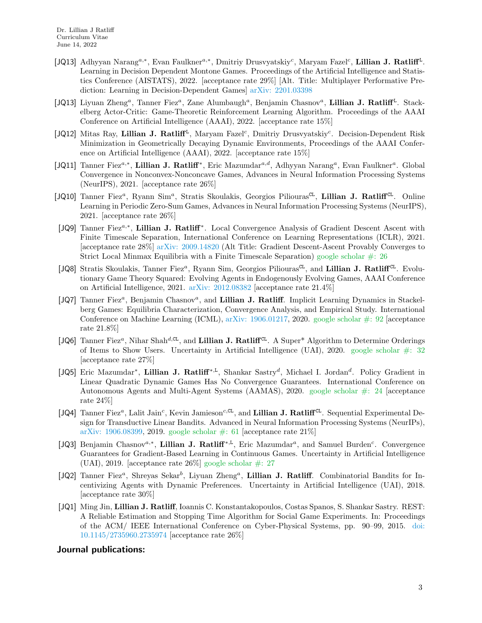- [JQ13] Adhyyan Narang<sup>a,∗</sup>, Evan Faulkner<sup>a,∗</sup>, Dmitriy Drusvyatskiy<sup>c</sup>, Maryam Fazel<sup>c</sup>, Lillian J. Ratliff<sup>L</sup>. Learning in Decision Dependent Montone Games. Proceedings of the Artificial Intelligence and Statistics Conference (AISTATS), 2022. [acceptance rate 29%] [Alt. Title: Multiplayer Performative Prediction: Learning in Decision-Dependent Games] [arXiv: 2201.03398](http://arxiv.org/abs/2201.03398)
- [JQ13] Liyuan Zheng<sup>a</sup>, Tanner Fiez<sup>a</sup>, Zane Alumbaugh<sup>a</sup>, Benjamin Chasnov<sup>a</sup>, Lillian J. Ratliff<sup>L</sup>. Stackelberg Actor-Critic: Game-Theoretic Reinforcement Learning Algorithm. Proceedings of the AAAI Conference on Artificial Intelligence (AAAI), 2022. [acceptance rate 15%]
- [JQ12] Mitas Ray, Lillian J. Ratliff<sup>L</sup>, Maryam Fazel<sup>c</sup>, Dmitriy Drusvyatskiy<sup>c</sup>. Decision-Dependent Risk Minimization in Geometrically Decaying Dynamic Environments, Proceedings of the AAAI Conference on Artificial Intelligence (AAAI), 2022. [acceptance rate 15%]
- [JQ11] Tanner Fiez<sup>a,\*</sup>, Lillian J. Ratliff<sup>\*</sup>, Eric Mazumdar<sup>a,d</sup>, Adhyyan Narang<sup>a</sup>, Evan Faulkner<sup>a</sup>. Global Convergence in Nonconvex-Nonconcave Games, Advances in Neural Information Processing Systems (NeurIPS), 2021. [acceptance rate 26%]
- [JQ10] Tanner Fiez<sup>a</sup>, Ryann Sim<sup>a</sup>, Stratis Skoulakis, Georgios Piliouras<sup>CL</sup>, Lillian J. Ratliff<sup>CL</sup>. Online Learning in Periodic Zero-Sum Games, Advances in Neural Information Processing Systems (NeurIPS), 2021. [acceptance rate 26%]
- [JQ9] Tanner Fiez<sup>a,\*</sup>, Lillian J. Ratliff<sup>\*</sup>. Local Convergence Analysis of Gradient Descent Ascent with Finite Timescale Separation, International Conference on Learning Representations (ICLR), 2021. [acceptance rate 28%] [arXiv: 2009.14820](http://arxiv.org/abs/2009.14820) (Alt Title: Gradient Descent-Ascent Provably Converges to Strict Local Minmax Equilibria with a Finite Timescale Separation) google scholar  $\#$ : 26
- [JQ8] Stratis Skoulakis, Tanner Fiez<sup>a</sup>, Ryann Sim, Georgios Piliouras<sup>CL</sup>, and Lillian J. Ratliff<sup>CL</sup>. Evolutionary Game Theory Squared: Evolving Agents in Endogenously Evolving Games, AAAI Conference on Artificial Intelligence, 2021. [arXiv: 2012.08382](http://arxiv.org/abs/2012.08382) [acceptance rate 21.4%]
- [JQ7] Tanner Fiez<sup>a</sup>, Benjamin Chasnov<sup>a</sup>, and Lillian J. Ratliff. Implicit Learning Dynamics in Stackelberg Games: Equilibria Characterization, Convergence Analysis, and Empirical Study. International Conference on Machine Learning (ICML),  $arXiv: 1906.01217, 2020.$  $arXiv: 1906.01217, 2020.$  google scholar  $\#: 92$  [acceptance rate 21.8%]
- [JQ6] Tanner Fiez<sup>a</sup>, Nihar Shah<sup>d,CL</sup>, and Lillian J. Ratliff<sup>CL</sup>. A Super<sup>\*</sup> Algorithm to Determine Orderings of Items to Show Users. Uncertainty in Artificial Intelligence (UAI), 2020. google scholar  $\#$ : 32 [acceptance rate 27%]
- [JQ5] Eric Mazumdar<sup>\*</sup>, Lillian J. Ratliff<sup>\*,L</sup>, Shankar Sastry<sup>d</sup>, Michael I. Jordan<sup>d</sup>. Policy Gradient in Linear Quadratic Dynamic Games Has No Convergence Guarantees. International Conference on Autonomous Agents and Multi-Agent Systems (AAMAS), 2020. [google scholar #: 24](https://scholar.google.com/scholar?oi=bibs&hl=en&cites=11576599387496942521,5566912868796039826,9188804599416805841&as_sdt=5) [acceptance rate 24%]
- [ $JQ4$ ] Tanner Fiez<sup>a</sup>, Lalit Jain<sup>c</sup>, Kevin Jamieson<sup>c,CL</sup>, and Lillian J. Ratliff<sup>CL</sup>. Sequential Experimental Design for Transductive Linear Bandits. Advanced in Neural Information Processing Systems (NeurIPs), [arXiv: 1906.08399,](http://arxiv.org/abs/1906.08399) 2019. google scholar  $\#$ : 61 [acceptance rate 21\%]]
- [JQ3] Benjamin Chasnov<sup>a,\*</sup>, Lillian J. Ratliff<sup>\*,L</sup>, Eric Mazumdar<sup>a</sup>, and Samuel Burden<sup>c</sup>. Convergence Guarantees for Gradient-Based Learning in Continuous Games. Uncertainty in Artificial Intelligence (UAI), 2019. [acceptance rate  $26\%$ ] google scholar  $\#$ : 27
- [JQ2] Tanner Fiez<sup>a</sup>, Shreyas Sekar<sup>b</sup>, Liyuan Zheng<sup>a</sup>, Lillian J. Ratliff. Combinatorial Bandits for Incentivizing Agents with Dynamic Preferences. Uncertainty in Artificial Intelligence (UAI), 2018. [acceptance rate 30%]
- [JQ1] Ming Jin, Lillian J. Ratliff, Ioannis C. Konstantakopoulos, Costas Spanos, S. Shankar Sastry. REST: A Reliable Estimation and Stopping Time Algorithm for Social Game Experiments. In: Proceedings of the ACM/ IEEE International Conference on Cyber-Physical Systems, pp. 90–99, 2015. [doi:](http://dx.doi.org/10.1145/2735960.2735974) [10.1145/2735960.2735974](http://dx.doi.org/10.1145/2735960.2735974) [acceptance rate 26%]

### Journal publications: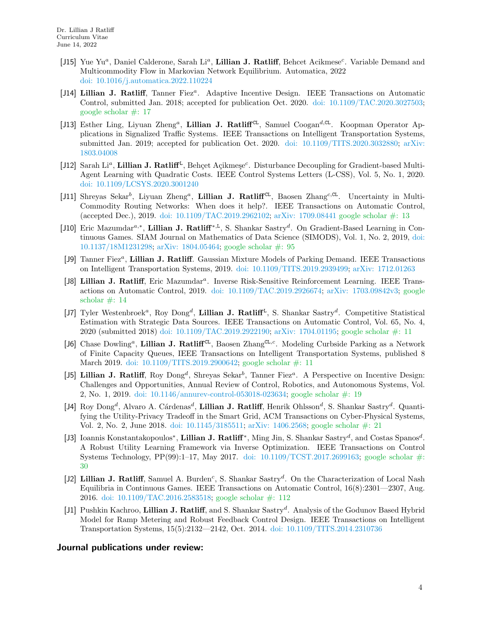- [J15] Yue Yu<sup>a</sup>, Daniel Calderone, Sarah Li<sup>a</sup>, Lillian J. Ratliff, Behcet Acikmese<sup>c</sup>. Variable Demand and Multicommodity Flow in Markovian Network Equilibrium. Automatica, 2022 [doi: 10.1016/j.automatica.2022.110224](http://dx.doi.org/10.1016/j.automatica.2022.110224)
- [J14] Lillian J. Ratliff, Tanner Fiez<sup>a</sup>. Adaptive Incentive Design. IEEE Transactions on Automatic Control, submitted Jan. 2018; accepted for publication Oct. 2020. [doi: 10.1109/TAC.2020.3027503;](http://dx.doi.org/10.1109/TAC.2020.3027503) [google scholar #: 17](https://scholar.google.com/citations?view_op=view_citation&hl=en&user=LVPkbeYAAAAJ&cstart=20&pagesize=80&citation_for_view=LVPkbeYAAAAJ:maZDTaKrznsC)
- [J13] Esther Ling, Liyuan Zheng<sup>a</sup>, Lillian J. Ratliff<sup>CL</sup>, Samuel Coogan<sup>d,CL</sup>. Koopman Operator Applications in Signalized Traffic Systems. IEEE Transactions on Intelligent Transportation Systems, submitted Jan. 2019; accepted for publication Oct. 2020. doi:  $10.1109/TITS.2020.3032880$ ; [arXiv:](http://arxiv.org/abs/1803.04008) [1803.04008](http://arxiv.org/abs/1803.04008)
- [J12] Sarah Li<sup>a</sup>, Lillian J. Ratliff<sup>L</sup>, Behçet Açikmeşe<sup>c</sup>. Disturbance Decoupling for Gradient-based Multi-Agent Learning with Quadratic Costs. IEEE Control Systems Letters (L-CSS), Vol. 5, No. 1, 2020. [doi: 10.1109/LCSYS.2020.3001240](http://dx.doi.org/10.1109/LCSYS.2020.3001240)
- [J11] Shreyas Sekar<sup>b</sup>, Liyuan Zheng<sup>a</sup>, Lillian J. Ratliff<sup>CL</sup>, Baosen Zhang<sup>c,CL</sup>. Uncertainty in Multi-Commodity Routing Networks: When does it help?. IEEE Transactions on Automatic Control, (accepted Dec.), 2019. [doi: 10.1109/TAC.2019.2962102;](http://dx.doi.org/10.1109/TAC.2019.2962102) [arXiv: 1709.08441](http://arxiv.org/abs/1709.08441) [google scholar #: 13](https://scholar.google.com/citations?view_op=view_citation&hl=en&user=LVPkbeYAAAAJ&cstart=20&pagesize=80&citation_for_view=LVPkbeYAAAAJ:RHpTSmoSYBkC)
- [J10] Eric Mazumdar<sup>a,∗</sup>, Lillian J. Ratliff<sup>\*,L</sup>, S. Shankar Sastry<sup>d</sup>. On Gradient-Based Learning in Continuous Games. SIAM Journal on Mathematics of Data Science (SIMODS), Vol. 1, No. 2, 2019, [doi:](http://dx.doi.org/10.1137/18M1231298) [10.1137/18M1231298;](http://dx.doi.org/10.1137/18M1231298) [arXiv: 1804.05464;](http://arxiv.org/abs/1804.05464) [google scholar #: 95](https://scholar.google.com/scholar?cites=1701319298330515887&as_sdt=5,48&sciodt=0,48&hl=en)
- [J9] Tanner Fiez<sup>a</sup>, Lillian J. Ratliff. Gaussian Mixture Models of Parking Demand. IEEE Transactions on Intelligent Transportation Systems, 2019. [doi: 10.1109/TITS.2019.2939499;](http://dx.doi.org/10.1109/TITS.2019.2939499) [arXiv: 1712.01263](http://arxiv.org/abs/1712.01263)
- [J8] Lillian J. Ratliff, Eric Mazumdar<sup>a</sup>. Inverse Risk-Sensitive Reinforcement Learning. IEEE Transactions on Automatic Control, 2019. [doi: 10.1109/TAC.2019.2926674;](http://dx.doi.org/10.1109/TAC.2019.2926674) [arXiv: 1703.09842v3;](http://arxiv.org/abs/1703.09842v3) [google](https://scholar.google.com/citations?view_op=view_citation&hl=en&user=LVPkbeYAAAAJ&cstart=20&pagesize=80&citation_for_view=LVPkbeYAAAAJ:M3NEmzRMIkIC) scholar  $\#$ : 14
- [J7] Tyler Westenbroek<sup>a</sup>, Roy Dong<sup>d</sup>, Lillian J. Ratliff<sup>L</sup>, S. Shankar Sastry<sup>d</sup>. Competitive Statistical Estimation with Strategic Data Sources. IEEE Transactions on Automatic Control, Vol. 65, No. 4, 2020 (submitted 2018) [doi: 10.1109/TAC.2019.2922190;](http://dx.doi.org/10.1109/TAC.2019.2922190) [arXiv: 1704.01195;](http://arxiv.org/abs/1704.01195) [google scholar #: 11](https://scholar.google.com/citations?view_op=view_citation&hl=en&user=LVPkbeYAAAAJ&cstart=20&pagesize=80&citation_for_view=LVPkbeYAAAAJ:35N4QoGY0k4C)
- [J6] Chase Dowling<sup>a</sup>, Lillian J. Ratliff<sup>CL</sup>, Baosen Zhang<sup>CL,c</sup>. Modeling Curbside Parking as a Network of Finite Capacity Queues, IEEE Transactions on Intelligent Transportation Systems, published 8 March 2019. [doi: 10.1109/TITS.2019.2900642;](http://dx.doi.org/10.1109/TITS.2019.2900642) [google scholar #: 11](https://scholar.google.com/citations?view_op=view_citation&hl=en&user=LVPkbeYAAAAJ&cstart=20&pagesize=80&citation_for_view=LVPkbeYAAAAJ:lSLTfruPkqcC)
- [J5] Lillian J. Ratliff, Roy Dong<sup>d</sup>, Shreyas Sekar<sup>b</sup>, Tanner Fiez<sup>a</sup>. A Perspective on Incentive Design: Challenges and Opportunities, Annual Review of Control, Robotics, and Autonomous Systems, Vol. 2, No. 1, 2019. [doi: 10.1146/annurev-control-053018-023634;](http://dx.doi.org/10.1146/annurev-control-053018-023634) [google scholar #: 19](https://scholar.google.com/citations?view_op=view_citation&hl=en&user=LVPkbeYAAAAJ&cstart=20&pagesize=80&citation_for_view=LVPkbeYAAAAJ:BqipwSGYUEgC)
- [J4] Roy Dong<sup>d</sup>, Alvaro A. Cárdenas<sup>d</sup>, **Lillian J. Ratliff**, Henrik Ohlsson<sup>d</sup>, S. Shankar Sastry<sup>d</sup>. Quantifying the Utility-Privacy Tradeoff in the Smart Grid, ACM Transactions on Cyber-Physical Systems, Vol. 2, No. 2, June 2018. [doi: 10.1145/3185511;](http://dx.doi.org/10.1145/3185511) [arXiv: 1406.2568;](http://arxiv.org/abs/1406.2568) [google scholar #: 21](https://scholar.google.com/scholar?oi=bibs&hl=en&authuser=2&cites=5013572413604072361,11392725842162328097&as_sdt=5)
- [J3] Ioannis Konstantakopoulos<sup>\*</sup>, Lillian J. Ratliff<sup>\*</sup>, Ming Jin, S. Shankar Sastry<sup>d</sup>, and Costas Spanos<sup>d</sup>. A Robust Utility Learning Framework via Inverse Optimization. IEEE Transactions on Control Systems Technology, PP(99):1–17, May 2017. [doi: 10.1109/TCST.2017.2699163;](http://dx.doi.org/10.1109/TCST.2017.2699163) [google scholar #:](https://scholar.google.com/scholar?oi=bibs&hl=en&cites=10062608594779887238&as_sdt=5) [30](https://scholar.google.com/scholar?oi=bibs&hl=en&cites=10062608594779887238&as_sdt=5)
- [J2] Lillian J. Ratliff, Samuel A. Burden<sup>c</sup>, S. Shankar Sastry<sup>d</sup>. On the Characterization of Local Nash Equilibria in Continuous Games. IEEE Transactions on Automatic Control, 16(8):2301—2307, Aug. 2016. [doi: 10.1109/TAC.2016.2583518;](http://dx.doi.org/10.1109/TAC.2016.2583518) [google scholar #: 112](https://scholar.google.com/scholar?oi=bibs&hl=en&cites=3097447437889982886)
- [J1] Pushkin Kachroo, Lillian J. Ratliff, and S. Shankar Sastry<sup>d</sup>. Analysis of the Godunov Based Hybrid Model for Ramp Metering and Robust Feedback Control Design. IEEE Transactions on Intelligent Transportation Systems, 15(5):2132—2142, Oct. 2014. [doi: 10.1109/TITS.2014.2310736](http://dx.doi.org/10.1109/TITS.2014.2310736)

### Journal publications under review: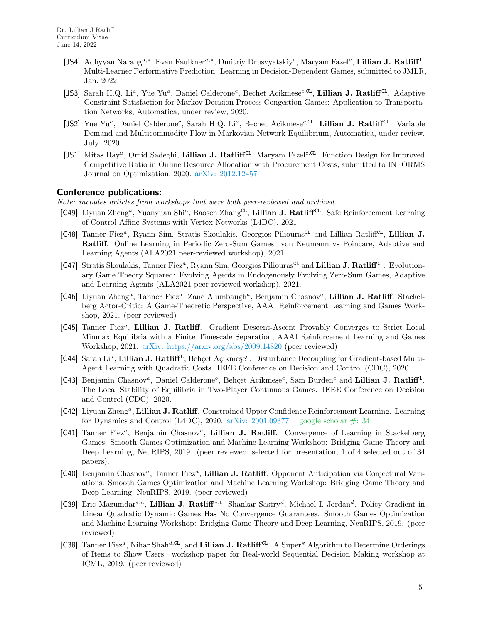- [JS4] Adhyyan Narang<sup>a,∗</sup>, Evan Faulkner<sup>a,∗</sup>, Dmitriy Drusvyatskiy<sup>c</sup>, Maryam Fazel<sup>c</sup>, Lillian J. Ratliff<sup>L</sup>. Multi-Learner Performative Prediction: Learning in Decision-Dependent Games, submitted to JMLR, Jan. 2022.
- [JS3] Sarah H.Q. Li<sup>a</sup>, Yue Yu<sup>a</sup>, Daniel Calderone<sup>c</sup>, Bechet Acikmese<sup>c, CL</sup>, Lillian J. Ratliff<sup>CL</sup>. Adaptive Constraint Satisfaction for Markov Decision Process Congestion Games: Application to Transportation Networks, Automatica, under review, 2020.
- [JS2] Yue Yu<sup>a</sup>, Daniel Calderone<sup>c</sup>, Sarah H.Q. Li<sup>a</sup>, Bechet Acikmese<sup>c,CL</sup>, Lillian J. Ratliff<sup>CL</sup>. Variable Demand and Multicommodity Flow in Markovian Network Equilibrium, Automatica, under review, July. 2020.
- [JS1] Mitas Ray<sup>a</sup>, Omid Sadeghi, Lillian J. Ratliff<sup>CL</sup>, Maryam Fazel<sup>c,CL</sup>. Function Design for Improved Competitive Ratio in Online Resource Allocation with Procurement Costs, submitted to INFORMS Journal on Optimization, 2020. [arXiv: 2012.12457](http://arxiv.org/abs/2012.12457)

### Conference publications:

Note: includes articles from workshops that were both peer-reviewed and archived.

- [C49] Liyuan Zheng<sup>a</sup>, Yuanyuan Shi<sup>a</sup>, Baosen Zhang<sup>cL</sup>, Lillian J. Ratliff<sup>CL</sup>. Safe Reinforcement Learning of Control-Affine Systems with Vertex Networks (L4DC), 2021.
- [C48] Tanner Fiez<sup>a</sup>, Ryann Sim, Stratis Skoulakis, Georgios Piliouras<sup>CL</sup> and Lillian RatliffCL, Lillian J. Ratliff. Online Learning in Periodic Zero-Sum Games: von Neumann vs Poincare, Adaptive and Learning Agents (ALA2021 peer-reviewed workshop), 2021.
- [C47] Stratis Skoulakis, Tanner Fiez<sup>a</sup>, Ryann Sim, Georgios Piliouras<sup>CL</sup> and Lillian J. Ratliff<sup>CL</sup>. Evolutionary Game Theory Squared: Evolving Agents in Endogenously Evolving Zero-Sum Games, Adaptive and Learning Agents (ALA2021 peer-reviewed workshop), 2021.
- [C46] Liyuan Zheng<sup>a</sup>, Tanner Fiez<sup>a</sup>, Zane Alumbaugh<sup>a</sup>, Benjamin Chasnov<sup>a</sup>, Lillian J. Ratliff. Stackelberg Actor-Critic: A Game-Theoretic Perspective, AAAI Reinforcement Learning and Games Workshop, 2021. (peer reviewed)
- [C45] Tanner Fiez<sup>a</sup>, Lillian J. Ratliff. Gradient Descent-Ascent Provably Converges to Strict Local Minmax Equilibria with a Finite Timescale Separation, AAAI Reinforcement Learning and Games Workshop, 2021. [arXiv: https://arxiv.org/abs/2009.14820](http://arxiv.org/abs/https://arxiv.org/abs/2009.14820) (peer reviewed)
- [C44] Sarah Li<sup>a</sup>, Lillian J. Ratliff<sup>L</sup>, Behçet Açikmeşe<sup>c</sup>. Disturbance Decoupling for Gradient-based Multi-Agent Learning with Quadratic Costs. IEEE Conference on Decision and Control (CDC), 2020.
- [C43] Benjamin Chasnov<sup>a</sup>, Daniel Calderone<sup>b</sup>, Behçet Açikmeşe<sup>c</sup>, Sam Burden<sup>c</sup> and Lillian J. Ratliff<sup>L</sup>. The Local Stability of Equilibria in Two-Player Continuous Games. IEEE Conference on Decision and Control (CDC), 2020.
- [C42] Liyuan Zheng<sup>a</sup>, Lillian J. Ratliff. Constrained Upper Confidence Reinforcement Learning. Learning for Dynamics and Control (L4DC), 2020. arXiv:  $2001.09377$  google scholar  $\#$ : 34
- [C41] Tanner Fiez<sup>a</sup>, Benjamin Chasnov<sup>a</sup>, Lillian J. Ratliff. Convergence of Learning in Stackelberg Games. Smooth Games Optimization and Machine Learning Workshop: Bridging Game Theory and Deep Learning, NeuRIPS, 2019. (peer reviewed, selected for presentation, 1 of 4 selected out of 34 papers).
- [C40] Benjamin Chasnov<sup>a</sup>, Tanner Fiez<sup>a</sup>, Lillian J. Ratliff. Opponent Anticipation via Conjectural Variations. Smooth Games Optimization and Machine Learning Workshop: Bridging Game Theory and Deep Learning, NeuRIPS, 2019. (peer reviewed)
- [C39] Eric Mazumdar<sup>∗,*a*</sup>, Lillian J. Ratliff<sup>∗,L</sup>, Shankar Sastry<sup>d</sup>, Michael I. Jordan<sup>d</sup>. Policy Gradient in Linear Quadratic Dynamic Games Has No Convergence Guarantees. Smooth Games Optimization and Machine Learning Workshop: Bridging Game Theory and Deep Learning, NeuRIPS, 2019. (peer reviewed)
- [C38] Tanner Fiez<sup>a</sup>, Nihar Shah<sup>d, CL</sup>, and Lillian J. Ratliff<sup>CL</sup>. A Super<sup>\*</sup> Algorithm to Determine Orderings of Items to Show Users. workshop paper for Real-world Sequential Decision Making workshop at ICML, 2019. (peer reviewed)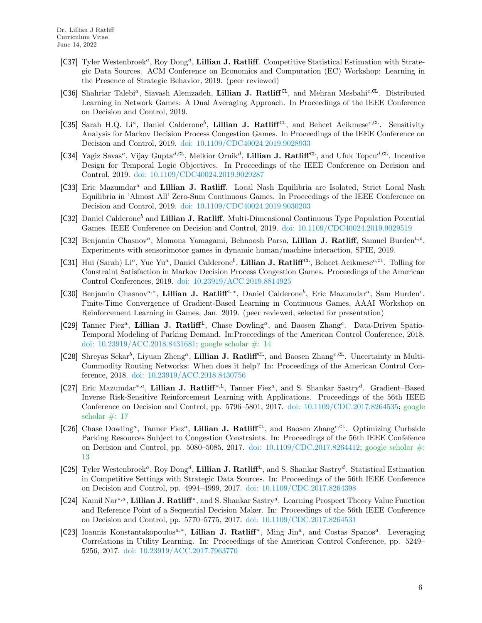- [C37] Tyler Westenbroek<sup>a</sup>, Roy Dong<sup>d</sup>, Lillian J. Ratliff. Competitive Statistical Estimation with Strategic Data Sources. ACM Conference on Economics and Computation (EC) Workshop: Learning in the Presence of Strategic Behavior, 2019. (peer reviewed)
- [C36] Shahriar Talebi<sup>a</sup>, Siavash Alemzadeh, Lillian J. Ratliff<sup>CL</sup>, and Mehran Mesbahi<sup>c,CL</sup>. Distributed Learning in Network Games: A Dual Averaging Approach. In Proceedings of the IEEE Conference on Decision and Control, 2019.
- [C35] Sarah H.Q. Li<sup>a</sup>, Daniel Calderone<sup>b</sup>, Lillian J. Ratliff<sup>CL</sup>, and Behcet Acikmese<sup>c,CL</sup>. Sensitivity Analysis for Markov Decision Process Congestion Games. In Proceedings of the IEEE Conference on Decision and Control, 2019. [doi: 10.1109/CDC40024.2019.9028933](http://dx.doi.org/10.1109/CDC40024.2019.9028933)
- [C34] Yagiz Savas<sup>a</sup>, Vijay Gupta<sup>d, CL</sup>, Melkior Ornik<sup>d</sup>, Lillian J. Ratliff<sup>CL</sup>, and Ufuk Topcu<sup>d, CL</sup>. Incentive Design for Temporal Logic Objectives. In Proceedings of the IEEE Conference on Decision and Control, 2019. [doi: 10.1109/CDC40024.2019.9029287](http://dx.doi.org/10.1109/CDC40024.2019.9029287)
- [C33] Eric Mazumdar<sup>a</sup> and Lillian J. Ratliff. Local Nash Equilibria are Isolated, Strict Local Nash Equilibria in 'Almost All' Zero-Sum Continuous Games. In Proceedings of the IEEE Conference on Decision and Control, 2019. [doi: 10.1109/CDC40024.2019.9030203](http://dx.doi.org/10.1109/CDC40024.2019.9030203)
- [C32] Daniel Calderone<sup>b</sup> and Lillian J. Ratliff. Multi-Dimensional Continuous Type Population Potential Games. IEEE Conference on Decision and Control, 2019. [doi: 10.1109/CDC40024.2019.9029519](http://dx.doi.org/10.1109/CDC40024.2019.9029519)
- [C32] Benjamin Chasnov<sup>a</sup>, Momona Yamagami, Behnoosh Parsa, Lillian J. Ratliff, Samuel Burden<sup>L,c</sup>. Experiments with sensorimotor games in dynamic human/machine interaction, SPIE, 2019.
- [C31] Hui (Sarah) Li<sup>a</sup>, Yue Yu<sup>a</sup>, Daniel Calderone<sup>b</sup>, Lillian J. Ratliff<sup>CL</sup>, Behcet Acikmese<sup>c,CL</sup>. Tolling for Constraint Satisfaction in Markov Decision Process Congestion Games. Proceedings of the American Control Conferences, 2019. [doi: 10.23919/ACC.2019.8814925](http://dx.doi.org/10.23919/ACC.2019.8814925)
- [C30] Benjamin Chasnov<sup>a,\*</sup>, Lillian J. Ratliff<sup>L,\*</sup>, Daniel Calderone<sup>b</sup>, Eric Mazumdar<sup>a</sup>, Sam Burden<sup>c</sup>. Finite-Time Convergence of Gradient-Based Learning in Continuous Games, AAAI Workshop on Reinforcement Learning in Games, Jan. 2019. (peer reviewed, selected for presentation)
- [C29] Tanner Fiez<sup>a</sup>, Lillian J. Ratliff<sup>L</sup>, Chase Dowling<sup>a</sup>, and Baosen Zhang<sup>c</sup>. Data-Driven Spatio-Temporal Modeling of Parking Demand. In:Proceedings of the American Control Conference, 2018. [doi: 10.23919/ACC.2018.8431681;](http://dx.doi.org/10.23919/ACC.2018.8431681) [google scholar #: 14](https://scholar.google.com/scholar?oi=bibs&hl=en&authuser=2&cites=14285601939142487277&as_sdt=5)
- [C28] Shreyas Sekar<sup>b</sup>, Liyuan Zheng<sup>a</sup>, Lillian J. Ratliff<sup>CL</sup>, and Baosen Zhang<sup>c,CL</sup>. Uncertainty in Multi-Commodity Routing Networks: When does it help? In: Proceedings of the American Control Conference, 2018. [doi: 10.23919/ACC.2018.8430756](http://dx.doi.org/10.23919/ACC.2018.8430756)
- [C27] Eric Mazumdar<sup>\*,*a*</sup>, Lillian J. Ratliff<sup>\*,L</sup>, Tanner Fiez<sup>a</sup>, and S. Shankar Sastry<sup>d</sup>. Gradient–Based Inverse Risk-Sensitive Reinforcement Learning with Applications. Proceedings of the 56th IEEE Conference on Decision and Control, pp. 5796–5801, 2017. [doi: 10.1109/CDC.2017.8264535;](http://dx.doi.org/10.1109/CDC.2017.8264535) [google](https://scholar.google.com/scholar?oi=bibs&hl=en&authuser=2&cites=4184369894347294213,3321914610121017435&as_sdt=5) scholar  $\#$ : 17
- [C26] Chase Dowling<sup>a</sup>, Tanner Fiez<sup>a</sup>, Lillian J. Ratliff<sup>CL</sup>, and Baosen Zhang<sup>c,CL</sup>. Optimizing Curbside Parking Resources Subject to Congestion Constraints. In: Proceedings of the 56th IEEE Confefence on Decision and Control, pp. 5080-5085, 2017. doi:  $10.1109/CDC.2017.8264412$ ; [google scholar #:](https://scholar.google.com/citations?view_op=view_citation&hl=en&user=LVPkbeYAAAAJ&cstart=20&pagesize=80&citation_for_view=LVPkbeYAAAAJ:mB3voiENLucC) [13](https://scholar.google.com/citations?view_op=view_citation&hl=en&user=LVPkbeYAAAAJ&cstart=20&pagesize=80&citation_for_view=LVPkbeYAAAAJ:mB3voiENLucC)
- [C25] Tyler Westenbroek<sup>a</sup>, Roy Dong<sup>d</sup>, Lillian J. Ratliff<sup>L</sup>, and S. Shankar Sastry<sup>d</sup>. Statistical Estimation in Competitive Settings with Strategic Data Sources. In: Proceedings of the 56th IEEE Conference on Decision and Control, pp. 4994–4999, 2017. [doi: 10.1109/CDC.2017.8264398](http://dx.doi.org/10.1109/CDC.2017.8264398)
- [C24] Kamil Nar<sup>∗,a</sup>, Lillian J. Ratliff<sup>\*</sup>, and S. Shankar Sastry<sup>d</sup>. Learning Prospect Theory Value Function and Reference Point of a Sequential Decision Maker. In: Proceedings of the 56th IEEE Conference on Decision and Control, pp. 5770–5775, 2017. [doi: 10.1109/CDC.2017.8264531](http://dx.doi.org/10.1109/CDC.2017.8264531)
- [C23] Ioannis Konstantakopoulos<sup>a,\*</sup>, Lillian J. Ratliff<sup>\*</sup>, Ming Jin<sup>a</sup>, and Costas Spanos<sup>d</sup>. Leveraging Correlations in Utility Learning. In: Proceedings of the American Control Conference, pp. 5249– 5256, 2017. [doi: 10.23919/ACC.2017.7963770](http://dx.doi.org/10.23919/ACC.2017.7963770)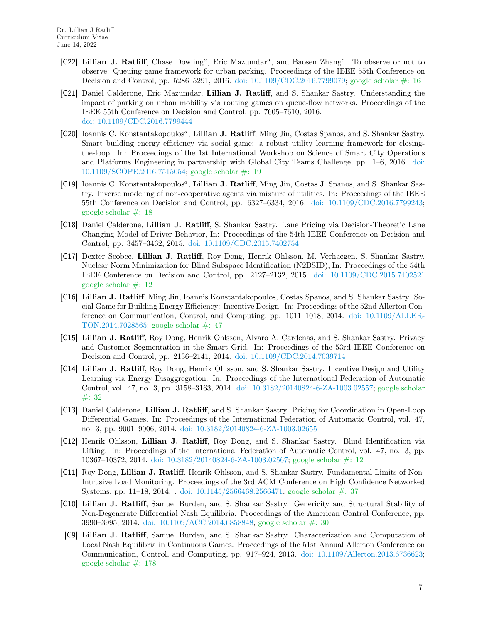- [C22] Lillian J. Ratliff, Chase Dowling<sup>a</sup>, Eric Mazumdar<sup>a</sup>, and Baosen Zhang<sup>c</sup>. To observe or not to observe: Queuing game framework for urban parking. Proceedings of the IEEE 55th Conference on Decision and Control, pp. 5286–5291, 2016. [doi: 10.1109/CDC.2016.7799079;](http://dx.doi.org/10.1109/CDC.2016.7799079) [google scholar #: 16](https://scholar.google.com/scholar?oi=bibs&hl=en&authuser=2&cites=237397093702051631&as_sdt=5)
- [C21] Daniel Calderone, Eric Mazumdar, Lillian J. Ratliff, and S. Shankar Sastry. Understanding the impact of parking on urban mobility via routing games on queue-flow networks. Proceedings of the IEEE 55th Conference on Decision and Control, pp. 7605–7610, 2016. [doi: 10.1109/CDC.2016.7799444](http://dx.doi.org/10.1109/CDC.2016.7799444)
- [C20] Ioannis C. Konstantakopoulos<sup>a</sup>, Lillian J. Ratliff, Ming Jin, Costas Spanos, and S. Shankar Sastry. Smart building energy efficiency via social game: a robust utility learning framework for closingthe-loop. In: Proceedings of the 1st International Workshop on Science of Smart City Operations and Platforms Engineering in partnership with Global City Teams Challenge, pp. 1–6, 2016. [doi:](http://dx.doi.org/10.1109/SCOPE.2016.7515054) [10.1109/SCOPE.2016.7515054;](http://dx.doi.org/10.1109/SCOPE.2016.7515054) [google scholar #: 19](https://scholar.google.com/scholar?cites=10537783773422630651&as_sdt=5,48&sciodt=0,48&hl=en)
- [C19] Ioannis C. Konstantakopoulos<sup>a</sup>, Lillian J. Ratliff, Ming Jin, Costas J. Spanos, and S. Shankar Sastry. Inverse modeling of non-cooperative agents via mixture of utilities. In: Proceedings of the IEEE 55th Conference on Decision and Control, pp. 6327–6334, 2016. [doi: 10.1109/CDC.2016.7799243;](http://dx.doi.org/10.1109/CDC.2016.7799243) [google scholar #: 18](https://scholar.google.com/scholar?cites=8893396095599387791&as_sdt=5,48&sciodt=0,48&hl=en)
- [C18] Daniel Calderone, Lillian J. Ratliff, S. Shankar Sastry. Lane Pricing via Decision-Theoretic Lane Changing Model of Driver Behavior, In: Proceedings of the 54th IEEE Conference on Decision and Control, pp. 3457–3462, 2015. [doi: 10.1109/CDC.2015.7402754](http://dx.doi.org/10.1109/CDC.2015.7402754)
- [C17] Dexter Scobee, Lillian J. Ratliff, Roy Dong, Henrik Ohlsson, M. Verhaegen, S. Shankar Sastry. Nuclear Norm Minimization for Blind Subspace Identification (N2BSID), In: Proceedings of the 54th IEEE Conference on Decision and Control, pp. 2127–2132, 2015. [doi: 10.1109/CDC.2015.7402521](http://dx.doi.org/10.1109/CDC.2015.7402521) [google scholar #: 12](https://scholar.google.com/scholar?oi=bibs&hl=en&authuser=2&cites=9046514920897606686&as_sdt=5)
- [C16] Lillian J. Ratliff, Ming Jin, Ioannis Konstantakopoulos, Costas Spanos, and S. Shankar Sastry. Social Game for Building Energy Efficiency: Incentive Design. In: Proceedings of the 52nd Allerton Conference on Communication, Control, and Computing, pp. 1011–1018, 2014. [doi: 10.1109/ALLER-](http://dx.doi.org/10.1109/ALLERTON.2014.7028565)[TON.2014.7028565;](http://dx.doi.org/10.1109/ALLERTON.2014.7028565) [google scholar #: 47](https://scholar.google.com/scholar?oi=bibs&hl=en&cites=1311538406862238490)
- [C15] Lillian J. Ratliff, Roy Dong, Henrik Ohlsson, Alvaro A. Cardenas, and S. Shankar Sastry. Privacy and Customer Segmentation in the Smart Grid. In: Proceedings of the 53rd IEEE Conference on Decision and Control, pp. 2136–2141, 2014. [doi: 10.1109/CDC.2014.7039714](http://dx.doi.org/10.1109/CDC.2014.7039714)
- [C14] Lillian J. Ratliff, Roy Dong, Henrik Ohlsson, and S. Shankar Sastry. Incentive Design and Utility Learning via Energy Disaggregation. In: Proceedings of the International Federation of Automatic Control, vol. 47, no. 3, pp. 3158–3163, 2014. [doi: 10.3182/20140824-6-ZA-1003.02557;](http://dx.doi.org/10.3182/20140824-6-ZA-1003.02557) [google scholar](https://scholar.google.com/scholar?oi=bibs&hl=en&cites=3556403040367762893) [#: 32](https://scholar.google.com/scholar?oi=bibs&hl=en&cites=3556403040367762893)
- [C13] Daniel Calderone, Lillian J. Ratliff, and S. Shankar Sastry. Pricing for Coordination in Open-Loop Differential Games. In: Proceedings of the International Federation of Automatic Control, vol. 47, no. 3, pp. 9001–9006, 2014. [doi: 10.3182/20140824-6-ZA-1003.02655](http://dx.doi.org/10.3182/20140824-6-ZA-1003.02655)
- [C12] Henrik Ohlsson, Lillian J. Ratliff, Roy Dong, and S. Shankar Sastry. Blind Identification via Lifting. In: Proceedings of the International Federation of Automatic Control, vol. 47, no. 3, pp. 10367–10372, 2014. [doi: 10.3182/20140824-6-ZA-1003.02567;](http://dx.doi.org/10.3182/20140824-6-ZA-1003.02567) [google scholar #: 12](https://scholar.google.com/scholar?oi=bibs&hl=en&authuser=2&cites=6903546181519301365&as_sdt=5)
- [C11] Roy Dong, Lillian J. Ratliff, Henrik Ohlsson, and S. Shankar Sastry. Fundamental Limits of Non-Intrusive Load Monitoring. Proceedings of the 3rd ACM Conference on High Confidence Networked Systems, pp. 11–18, 2014. . [doi: 10.1145/2566468.2566471;](http://dx.doi.org/10.1145/2566468.2566471) [google scholar #: 37](https://scholar.google.com/scholar?oi=bibs&hl=en&cites=954569453835153610)
- [C10] Lillian J. Ratliff, Samuel Burden, and S. Shankar Sastry. Genericity and Structural Stability of Non-Degenerate Differential Nash Equilibria. Proceedings of the American Control Conference, pp. 3990–3995, 2014. [doi: 10.1109/ACC.2014.6858848;](http://dx.doi.org/10.1109/ACC.2014.6858848) [google scholar #: 30](https://scholar.google.com/scholar?cites=4216976763728938372&as_sdt=5,48&sciodt=0,48&hl=en)
- [C9] Lillian J. Ratliff, Samuel Burden, and S. Shankar Sastry. Characterization and Computation of Local Nash Equilibria in Continuous Games. Proceedings of the 51st Annual Allerton Conference on Communication, Control, and Computing, pp. 917–924, 2013. [doi: 10.1109/Allerton.2013.6736623;](http://dx.doi.org/10.1109/Allerton.2013.6736623) [google scholar #: 178](https://scholar.google.com/scholar?oi=bibs&hl=en&cites=15794502017770984547)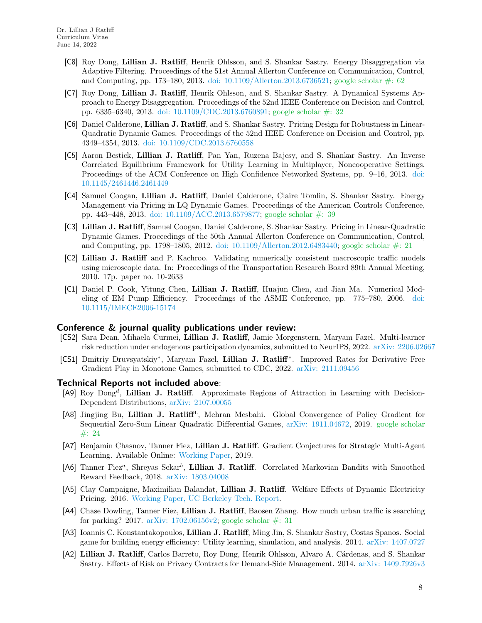- [C8] Roy Dong, Lillian J. Ratliff, Henrik Ohlsson, and S. Shankar Sastry. Energy Disaggregation via Adaptive Filtering. Proceedings of the 51st Annual Allerton Conference on Communication, Control, and Computing, pp. 173–180, 2013. [doi: 10.1109/Allerton.2013.6736521;](http://dx.doi.org/10.1109/Allerton.2013.6736521) [google scholar #: 62](https://scholar.google.com/scholar?oi=bibs&hl=en&cites=4215900277462127000)
- [C7] Roy Dong, Lillian J. Ratliff, Henrik Ohlsson, and S. Shankar Sastry. A Dynamical Systems Approach to Energy Disaggregation. Proceedings of the 52nd IEEE Conference on Decision and Control, pp. 6335–6340, 2013. [doi: 10.1109/CDC.2013.6760891;](http://dx.doi.org/10.1109/CDC.2013.6760891) [google scholar #: 32](https://scholar.google.com/scholar?oi=bibs&hl=en&cites=2492673454902816100)
- [C6] Daniel Calderone, Lillian J. Ratliff, and S. Shankar Sastry. Pricing Design for Robustness in Linear-Quadratic Dynamic Games. Proceedings of the 52nd IEEE Conference on Decision and Control, pp. 4349–4354, 2013. [doi: 10.1109/CDC.2013.6760558](http://dx.doi.org/10.1109/CDC.2013.6760558)
- [C5] Aaron Bestick, Lillian J. Ratliff, Pan Yan, Ruzena Bajcsy, and S. Shankar Sastry. An Inverse Correlated Equilibrium Framework for Utility Learning in Multiplayer, Noncooperative Settings. Proceedings of the ACM Conference on High Confidence Networked Systems, pp. 9–16, 2013. [doi:](http://dx.doi.org/10.1145/2461446.2461449) [10.1145/2461446.2461449](http://dx.doi.org/10.1145/2461446.2461449)
- [C4] Samuel Coogan, Lillian J. Ratliff, Daniel Calderone, Claire Tomlin, S. Shankar Sastry. Energy Management via Pricing in LQ Dynamic Games. Proceedings of the American Controls Conference, pp. 443–448, 2013. [doi: 10.1109/ACC.2013.6579877;](http://dx.doi.org/10.1109/ACC.2013.6579877) [google scholar #: 39](https://scholar.google.com/scholar?oi=bibs&hl=en&cites=7787100110916952376)
- [C3] Lillian J. Ratliff, Samuel Coogan, Daniel Calderone, S. Shankar Sastry. Pricing in Linear-Quadratic Dynamic Games. Proceedings of the 50th Annual Allerton Conference on Communication, Control, and Computing, pp. 1798–1805, 2012. [doi: 10.1109/Allerton.2012.6483440;](http://dx.doi.org/10.1109/Allerton.2012.6483440) [google scholar #: 21](https://scholar.google.com/scholar?oi=bibs&hl=en&cites=733047319045601798)
- [C2] Lillian J. Ratliff and P. Kachroo. Validating numerically consistent macroscopic traffic models using microscopic data. In: Proceedings of the Transportation Research Board 89th Annual Meeting, 2010. 17p. paper no. 10-2633
- [C1] Daniel P. Cook, Yitung Chen, Lillian J. Ratliff, Huajun Chen, and Jian Ma. Numerical Modeling of EM Pump Efficiency. Proceedings of the ASME Conference, pp. 775–780, 2006. [doi:](http://dx.doi.org/10.1115/IMECE2006-15174) [10.1115/IMECE2006-15174](http://dx.doi.org/10.1115/IMECE2006-15174)

#### Conference & journal quality publications under review:

- [CS2] Sara Dean, Mihaela Curmei, Lillian J. Ratliff, Jamie Morgenstern, Maryam Fazel. Multi-learner risk reduction under endogenous participation dynamics, submitted to NeurIPS, 2022. [arXiv: 2206.02667](http://arxiv.org/abs/2206.02667)
- [CS1] Dmitriy Druvsyatskiy\*, Maryam Fazel, Lillian J. Ratliff<sup>\*</sup>. Improved Rates for Derivative Free Gradient Play in Monotone Games, submitted to CDC, 2022. [arXiv: 2111.09456](http://arxiv.org/abs/2111.09456)

#### Technical Reports not included above:

- [A9] Roy Dong<sup>d</sup>, Lillian J. Ratliff. Approximate Regions of Attraction in Learning with Decision-Dependent Distributions, [arXiv: 2107.00055](http://arxiv.org/abs/2107.00055)
- [A8] Jingjing Bu, Lillian J. Ratliff<sup>L</sup>, Mehran Mesbahi. Global Convergence of Policy Gradient for Sequential Zero-Sum Linear Quadratic Differential Games, [arXiv: 1911.04672,](http://arxiv.org/abs/1911.04672) 2019. [google scholar](https://scholar.google.com/scholar?oi=bibs&hl=en&authuser=2&cites=13493389952909240166&as_sdt=5) [#: 24](https://scholar.google.com/scholar?oi=bibs&hl=en&authuser=2&cites=13493389952909240166&as_sdt=5)
- [A7] Benjamin Chasnov, Tanner Fiez, Lillian J. Ratliff. Gradient Conjectures for Strategic Multi-Agent Learning. Available Online: [Working Paper,](https://faculty.washington.edu/ratliffl/research/2019conjectures.pdf) 2019.
- [A6] Tanner Fiez<sup>a</sup>, Shreyas Sekar<sup>b</sup>, Lillian J. Ratliff. Correlated Markovian Bandits with Smoothed Reward Feedback, 2018. [arXiv: 1803.04008](http://arxiv.org/abs/1803.04008)
- [A5] Clay Campaigne, Maximilian Balandat, Lillian J. Ratliff. Welfare Effects of Dynamic Electricity Pricing. 2016. [Working Paper, UC Berkeley Tech. Report.](https://www.ocf.berkeley.edu/~clay/file/SimulatingDynamicTariffs.pdf)
- [A4] Chase Dowling, Tanner Fiez, Lillian J. Ratliff, Baosen Zhang. How much urban traffic is searching for parking? 2017. arXiv:  $1702.06156v2$ ; google scholar  $\#$ : 31
- [A3] Ioannis C. Konstantakopoulos, Lillian J. Ratliff, Ming Jin, S. Shankar Sastry, Costas Spanos. Social game for building energy efficiency: Utility learning, simulation, and analysis. 2014. [arXiv: 1407.0727](http://arxiv.org/abs/1407.0727)
- [A2] Lillian J. Ratliff, Carlos Barreto, Roy Dong, Henrik Ohlsson, Alvaro A. Cárdenas, and S. Shankar Sastry. Effects of Risk on Privacy Contracts for Demand-Side Management. 2014. [arXiv: 1409.7926v3](http://arxiv.org/abs/1409.7926v3)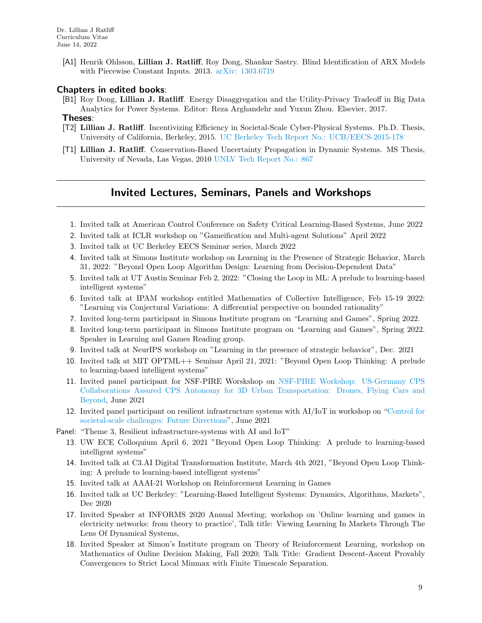[A1] Henrik Ohlsson, Lillian J. Ratliff, Roy Dong, Shankar Sastry. Blind Identification of ARX Models with Piecewise Constant Inputs. 2013. [arXiv: 1303.6719](http://arxiv.org/abs/1303.6719)

### Chapters in edited books:

[B1] Roy Dong, Lillian J. Ratliff. Energy Disaggregation and the Utility-Privacy Tradeoff in Big Data Analytics for Power Systems. Editor: Reza Arghandehr and Yuxun Zhou. Elsevier, 2017.

#### Theses:

- [T2] Lillian J. Ratliff. Incentivizing Efficiency in Societal-Scale Cyber-Physical Systems. Ph.D. Thesis, University of California, Berkeley, 2015. [UC Berkeley Tech Report No.: UCB/EECS-2015-178](https://www2.eecs.berkeley.edu/Pubs/TechRpts/2015/EECS-2015-178.html)
- [T1] Lillian J. Ratliff. Conservation-Based Uncertainty Propagation in Dynamic Systems. MS Thesis, University of Nevada, Las Vegas, 2010 [UNLV Tech Report No.: 867](https://digitalscholarship.unlv.edu/thesesdissertations/867/ )

### Invited Lectures, Seminars, Panels and Workshops

- 1. Invited talk at American Control Conference on Safety Critical Learning-Based Systems, June 2022
- 2. Invited talk at ICLR workshop on "Gameification and Multi-agent Solutions" April 2022
- 3. Invited talk at UC Berkeley EECS Seminar series, March 2022
- 4. Invited talk at Simons Institute workshop on Learning in the Presence of Strategic Behavior, March 31, 2022: "Beyond Open Loop Algorithm Design: Learning from Decision-Dependent Data"
- 5. Invited talk at UT Austin Seminar Feb 2, 2022: "Closing the Loop in ML: A prelude to learning-based intelligent systems"
- 6. Invited talk at IPAM workshop entitled Mathematics of Collective Intelligence, Feb 15-19 2022: "Learning via Conjectural Variations: A differential perspective on bounded rationality"
- 7. Invited long-term participant in Simons Institute program on "Learning and Games", Spring 2022.
- 8. Invited long-term participant in Simons Institute program on "Learning and Games", Spring 2022. Speaker in Learning and Games Reading group.
- 9. Invited talk at NeurIPS workshop on "Learning in the presence of strategic behavior", Dec. 2021
- 10. Invited talk at MIT OPTML++ Seminar April 21, 2021: "Beyond Open Loop Thinking: A prelude to learning-based intelligent systems"
- 11. Invited panel participant for NSF-PIRE Worskshop on [NSF-PIRE Workshop: US-Germany CPS](https://cps-vo.org/group/3D-urban-transportation-workshop) [Collaborations Assured CPS Autonomy for 3D Urban Transportation: Drones, Flying Cars and](https://cps-vo.org/group/3D-urban-transportation-workshop) [Beyond,](https://cps-vo.org/group/3D-urban-transportation-workshop) June 2021
- 12. Invited panel participant on resilient infrastructure systems with AI/IoT in workshop on ["Control for](https://state-space.ieeecss.org/d/37-roadmap-2030-vision-statements-for-control-for-societal-challenges-virtual) [societal-scale challenges: Future Directions"](https://state-space.ieeecss.org/d/37-roadmap-2030-vision-statements-for-control-for-societal-challenges-virtual), June 2021
- Panel: "Theme 3, Resilient infrastructure-systems with AI and IoT"
	- 13. UW ECE Colloquium April 6, 2021 "Beyond Open Loop Thinking: A prelude to learning-based intelligent systems"
	- 14. Invited talk at C3.AI Digital Transformation Institute, March 4th 2021, "Beyond Open Loop Thinking: A prelude to learning-based intelligent systems"
	- 15. Invited talk at AAAI-21 Workshop on Reinforcement Learning in Games
	- 16. Invited talk at UC Berkeley: "Learning-Based Intelligent Systems: Dynamics, Algorithms, Markets", Dec 2020
	- 17. Invited Speaker at INFORMS 2020 Annual Meeting; workshop on 'Online learning and games in electricity networks: from theory to practice', Talk title: Viewing Learning In Markets Through The Lens Of Dynamical Systems,
	- 18. Invited Speaker at Simon's Institute program on Theory of Reinforcement Learning, workshop on Mathematics of Online Decision Making, Fall 2020; Talk Title: Gradient Descent-Ascent Provably Convergences to Strict Local Minmax with Finite Timescale Separation.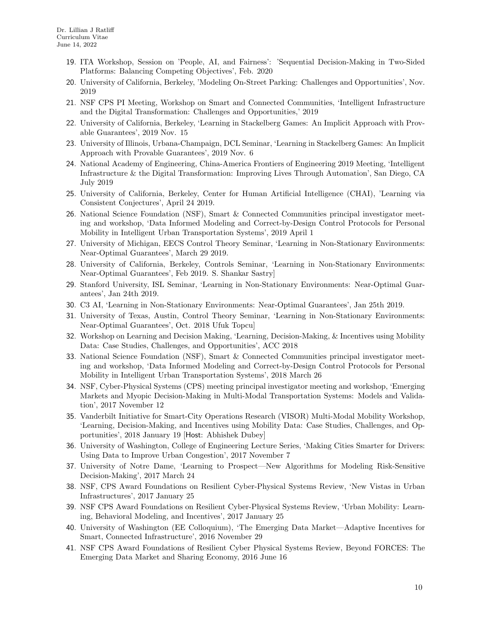- 19. ITA Workshop, Session on 'People, AI, and Fairness': 'Sequential Decision-Making in Two-Sided Platforms: Balancing Competing Objectives', Feb. 2020
- 20. University of California, Berkeley, 'Modeling On-Street Parking: Challenges and Opportunities', Nov. 2019
- 21. NSF CPS PI Meeting, Workshop on Smart and Connected Communities, 'Intelligent Infrastructure and the Digital Transformation: Challenges and Opportunities,' 2019
- 22. University of California, Berkeley, 'Learning in Stackelberg Games: An Implicit Approach with Provable Guarantees', 2019 Nov. 15
- 23. University of Illinois, Urbana-Champaign, DCL Seminar, 'Learning in Stackelberg Games: An Implicit Approach with Provable Guarantees', 2019 Nov. 6
- 24. National Academy of Engineering, China-America Frontiers of Engineering 2019 Meeting, 'Intelligent Infrastructure & the Digital Transformation: Improving Lives Through Automation', San Diego, CA July 2019
- 25. University of California, Berkeley, Center for Human Artificial Intelligence (CHAI), 'Learning via Consistent Conjectures', April 24 2019.
- 26. National Science Foundation (NSF), Smart & Connected Communities principal investigator meeting and workshop, 'Data Informed Modeling and Correct-by-Design Control Protocols for Personal Mobility in Intelligent Urban Transportation Systems', 2019 April 1
- 27. University of Michigan, EECS Control Theory Seminar, 'Learning in Non-Stationary Environments: Near-Optimal Guarantees', March 29 2019.
- 28. University of California, Berkeley, Controls Seminar, 'Learning in Non-Stationary Environments: Near-Optimal Guarantees', Feb 2019. S. Shankar Sastry]
- 29. Stanford University, ISL Seminar, 'Learning in Non-Stationary Environments: Near-Optimal Guarantees', Jan 24th 2019.
- 30. C3 AI, 'Learning in Non-Stationary Environments: Near-Optimal Guarantees', Jan 25th 2019.
- 31. University of Texas, Austin, Control Theory Seminar, 'Learning in Non-Stationary Environments: Near-Optimal Guarantees', Oct. 2018 Ufuk Topcu]
- 32. Workshop on Learning and Decision Making, 'Learning, Decision-Making, & Incentives using Mobility Data: Case Studies, Challenges, and Opportunities', ACC 2018
- 33. National Science Foundation (NSF), Smart & Connected Communities principal investigator meeting and workshop, 'Data Informed Modeling and Correct-by-Design Control Protocols for Personal Mobility in Intelligent Urban Transportation Systems', 2018 March 26
- 34. NSF, Cyber-Physical Systems (CPS) meeting principal investigator meeting and workshop, 'Emerging Markets and Myopic Decision-Making in Multi-Modal Transportation Systems: Models and Validation', 2017 November 12
- 35. Vanderbilt Initiative for Smart-City Operations Research (VISOR) Multi-Modal Mobility Workshop, 'Learning, Decision-Making, and Incentives using Mobility Data: Case Studies, Challenges, and Opportunities', 2018 January 19 [Host: Abhishek Dubey]
- 36. University of Washington, College of Engineering Lecture Series, 'Making Cities Smarter for Drivers: Using Data to Improve Urban Congestion', 2017 November 7
- 37. University of Notre Dame, 'Learning to Prospect—New Algorithms for Modeling Risk-Sensitive Decision-Making', 2017 March 24
- 38. NSF, CPS Award Foundations on Resilient Cyber-Physical Systems Review, 'New Vistas in Urban Infrastructures', 2017 January 25
- 39. NSF CPS Award Foundations on Resilient Cyber-Physical Systems Review, 'Urban Mobility: Learning, Behavioral Modeling, and Incentives', 2017 January 25
- 40. University of Washington (EE Colloquium), 'The Emerging Data Market—Adaptive Incentives for Smart, Connected Infrastructure', 2016 November 29
- 41. NSF CPS Award Foundations of Resilient Cyber Physical Systems Review, Beyond FORCES: The Emerging Data Market and Sharing Economy, 2016 June 16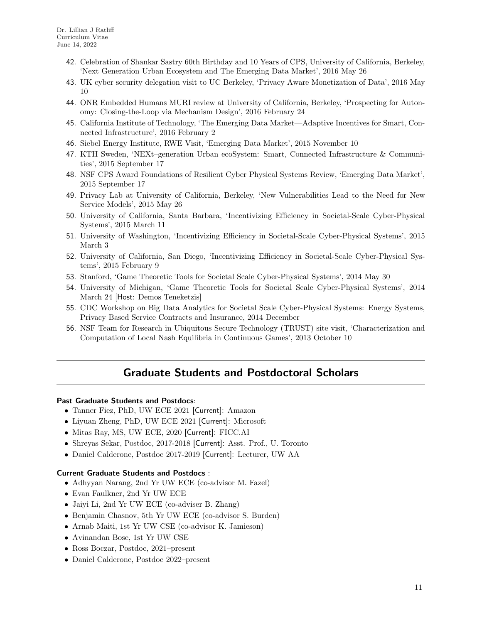- 42. Celebration of Shankar Sastry 60th Birthday and 10 Years of CPS, University of California, Berkeley, 'Next Generation Urban Ecosystem and The Emerging Data Market', 2016 May 26
- 43. UK cyber security delegation visit to UC Berkeley, 'Privacy Aware Monetization of Data', 2016 May 10
- 44. ONR Embedded Humans MURI review at University of California, Berkeley, 'Prospecting for Autonomy: Closing-the-Loop via Mechanism Design', 2016 February 24
- 45. California Institute of Technology, 'The Emerging Data Market—Adaptive Incentives for Smart, Connected Infrastructure', 2016 February 2
- 46. Siebel Energy Institute, RWE Visit, 'Emerging Data Market', 2015 November 10
- 47. KTH Sweden, 'NEXt–generation Urban ecoSystem: Smart, Connected Infrastructure & Communities', 2015 September 17
- 48. NSF CPS Award Foundations of Resilient Cyber Physical Systems Review, 'Emerging Data Market', 2015 September 17
- 49. Privacy Lab at University of California, Berkeley, 'New Vulnerabilities Lead to the Need for New Service Models', 2015 May 26
- 50. University of California, Santa Barbara, 'Incentivizing Efficiency in Societal-Scale Cyber-Physical Systems', 2015 March 11
- 51. University of Washington, 'Incentivizing Efficiency in Societal-Scale Cyber-Physical Systems', 2015 March 3
- 52. University of California, San Diego, 'Incentivizing Efficiency in Societal-Scale Cyber-Physical Systems', 2015 February 9
- 53. Stanford, 'Game Theoretic Tools for Societal Scale Cyber-Physical Systems', 2014 May 30
- 54. University of Michigan, 'Game Theoretic Tools for Societal Scale Cyber-Physical Systems', 2014 March 24 [Host: Demos Teneketzis]
- 55. CDC Workshop on Big Data Analytics for Societal Scale Cyber-Physical Systems: Energy Systems, Privacy Based Service Contracts and Insurance, 2014 December
- 56. NSF Team for Research in Ubiquitous Secure Technology (TRUST) site visit, 'Characterization and Computation of Local Nash Equilibria in Continuous Games', 2013 October 10

# Graduate Students and Postdoctoral Scholars

### Past Graduate Students and Postdocs:

- Tanner Fiez, PhD, UW ECE 2021 [Current]: Amazon
- Liyuan Zheng, PhD, UW ECE 2021 [Current]: Microsoft
- Mitas Ray, MS, UW ECE, 2020 [Current]: FICC.AI
- Shreyas Sekar, Postdoc, 2017-2018 [Current]: Asst. Prof., U. Toronto
- Daniel Calderone, Postdoc 2017-2019 [Current]: Lecturer, UW AA

### Current Graduate Students and Postdocs :

- Adhyyan Narang, 2nd Yr UW ECE (co-advisor M. Fazel)
- Evan Faulkner, 2nd Yr UW ECE
- Jaiyi Li, 2nd Yr UW ECE (co-adviser B. Zhang)
- Benjamin Chasnov, 5th Yr UW ECE (co-advisor S. Burden)
- Arnab Maiti, 1st Yr UW CSE (co-advisor K. Jamieson)
- Avinandan Bose, 1st Yr UW CSE
- Ross Boczar, Postdoc, 2021–present
- Daniel Calderone, Postdoc 2022–present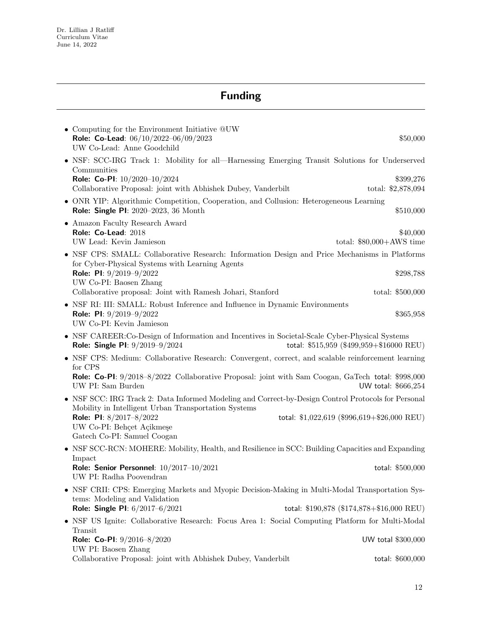# Funding

| • Computing for the Environment Initiative QUW<br>Role: Co-Lead: 06/10/2022-06/09/2023<br>UW Co-Lead: Anne Goodchild                                                                                       | \$50,000                                    |
|------------------------------------------------------------------------------------------------------------------------------------------------------------------------------------------------------------|---------------------------------------------|
| • NSF: SCC-IRG Track 1: Mobility for all-Harnessing Emerging Transit Solutions for Underserved<br>Communities                                                                                              |                                             |
| Role: Co-PI: 10/2020-10/2024<br>Collaborative Proposal: joint with Abhishek Dubey, Vanderbilt                                                                                                              | \$399,276<br>total: \$2,878,094             |
| • ONR YIP: Algorithmic Competition, Cooperation, and Collusion: Heterogeneous Learning<br>Role: Single PI: 2020-2023, 36 Month                                                                             | \$510,000                                   |
| • Amazon Faculty Research Award<br>Role: Co-Lead: 2018<br>UW Lead: Kevin Jamieson                                                                                                                          | \$40,000<br>total: $$80,000+AWS$ time       |
| • NSF CPS: SMALL: Collaborative Research: Information Design and Price Mechanisms in Platforms<br>for Cyber-Physical Systems with Learning Agents<br>Role: PI: $9/2019 - 9/2022$<br>UW Co-PI: Baosen Zhang | \$298,788                                   |
| Collaborative proposal: Joint with Ramesh Johari, Stanford                                                                                                                                                 | total: \$500,000                            |
| • NSF RI: III: SMALL: Robust Inference and Influence in Dynamic Environments<br><b>Role: PI:</b> $9/2019-9/2022$<br>UW Co-PI: Kevin Jamieson                                                               | \$365,958                                   |
| • NSF CAREER: Co-Design of Information and Incentives in Societal-Scale Cyber-Physical Systems<br>Role: Single PI: 9/2019-9/2024                                                                           | total: \$515,959 (\$499,959+\$16000 REU)    |
| • NSF CPS: Medium: Collaborative Research: Convergent, correct, and scalable reinforcement learning<br>for CPS                                                                                             |                                             |
| Role: Co-PI: 9/2018-8/2022 Collaborative Proposal: joint with Sam Coogan, GaTech total: \$998,000<br>UW PI: Sam Burden                                                                                     | UW total: \$666,254                         |
| • NSF SCC: IRG Track 2: Data Informed Modeling and Correct-by-Design Control Protocols for Personal<br>Mobility in Intelligent Urban Transportation Systems                                                |                                             |
| Role: PI: 8/2017-8/2022<br>UW Co-PI: Behçet Açikmeşe<br>Gatech Co-PI: Samuel Coogan                                                                                                                        | total: \$1,022,619 (\$996,619+\$26,000 REU) |
| • NSF SCC-RCN: MOHERE: Mobility, Health, and Resilience in SCC: Building Capacities and Expanding                                                                                                          |                                             |
| Impact<br>Role: Senior Personnel: $10/2017 - 10/2021$<br>UW PI: Radha Poovendran                                                                                                                           | total: \$500,000                            |
| • NSF CRII: CPS: Emerging Markets and Myopic Decision-Making in Multi-Modal Transportation Sys-<br>tems: Modeling and Validation                                                                           |                                             |
| Role: Single PI: 6/2017-6/2021                                                                                                                                                                             | total: \$190,878 (\$174,878+\$16,000 REU)   |
| • NSF US Ignite: Collaborative Research: Focus Area 1: Social Computing Platform for Multi-Modal<br>Transit                                                                                                |                                             |
| Role: Co-PI: 9/2016-8/2020<br>UW PI: Baosen Zhang                                                                                                                                                          | UW total \$300,000                          |
| Collaborative Proposal: joint with Abhishek Dubey, Vanderbilt                                                                                                                                              | total: \$600,000                            |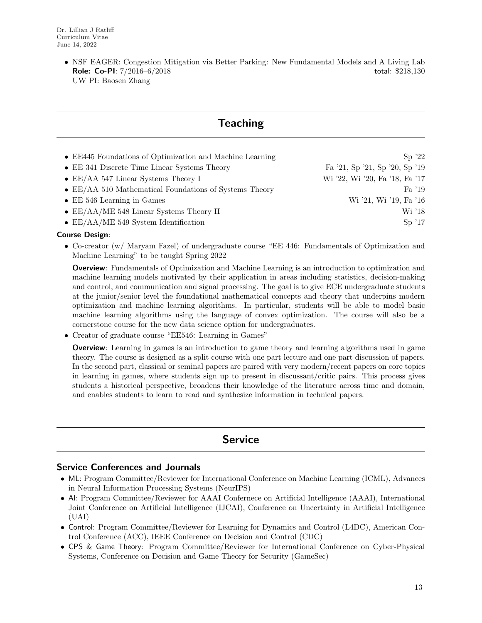• NSF EAGER: Congestion Mitigation via Better Parking: New Fundamental Models and A Living Lab **Role: Co-PI:**  $7/2016-6/2018$  total: \$218,130 UW PI: Baosen Zhang

# **Teaching**

| • EE445 Foundations of Optimization and Machine Learning       | $\mathrm{Sp}$ '22              |
|----------------------------------------------------------------|--------------------------------|
| • EE 341 Discrete Time Linear Systems Theory                   | Fa '21, Sp '21, Sp '20, Sp '19 |
| • EE/AA 547 Linear Systems Theory I                            | Wi '22, Wi '20, Fa '18, Fa '17 |
| $\bullet$ EE/AA 510 Mathematical Foundations of Systems Theory | Fa '19                         |
| $\bullet$ EE 546 Learning in Games                             | Wi '21, Wi '19, Fa '16         |
| $\bullet$ EE/AA/ME 548 Linear Systems Theory II                | Wi '18                         |
| • $EE/AA/ME$ 549 System Identification                         | Sp'17                          |

#### Course Design:

• Co-creator (w/ Maryam Fazel) of undergraduate course "EE 446: Fundamentals of Optimization and Machine Learning" to be taught Spring 2022

**Overview**: Fundamentals of Optimization and Machine Learning is an introduction to optimization and machine learning models motivated by their application in areas including statistics, decision-making and control, and communication and signal processing. The goal is to give ECE undergraduate students at the junior/senior level the foundational mathematical concepts and theory that underpins modern optimization and machine learning algorithms. In particular, students will be able to model basic machine learning algorithms using the language of convex optimization. The course will also be a cornerstone course for the new data science option for undergraduates.

• Creator of graduate course "EE546: Learning in Games"

**Overview**: Learning in games is an introduction to game theory and learning algorithms used in game theory. The course is designed as a split course with one part lecture and one part discussion of papers. In the second part, classical or seminal papers are paired with very modern/recent papers on core topics in learning in games, where students sign up to present in discussant/critic pairs. This process gives students a historical perspective, broadens their knowledge of the literature across time and domain, and enables students to learn to read and synthesize information in technical papers.

### **Service**

### Service Conferences and Journals

- ML: Program Committee/Reviewer for International Conference on Machine Learning (ICML), Advances in Neural Information Processing Systems (NeurIPS)
- AI: Program Committee/Reviewer for AAAI Confernece on Artificial Intelligence (AAAI), International Joint Conference on Artificial Intelligence (IJCAI), Conference on Uncertainty in Artificial Intelligence (UAI)
- Control: Program Committee/Reviewer for Learning for Dynamics and Control (L4DC), American Control Conference (ACC), IEEE Conference on Decision and Control (CDC)
- CPS & Game Theory: Program Committee/Reviewer for International Conference on Cyber-Physical Systems, Conference on Decision and Game Theory for Security (GameSec)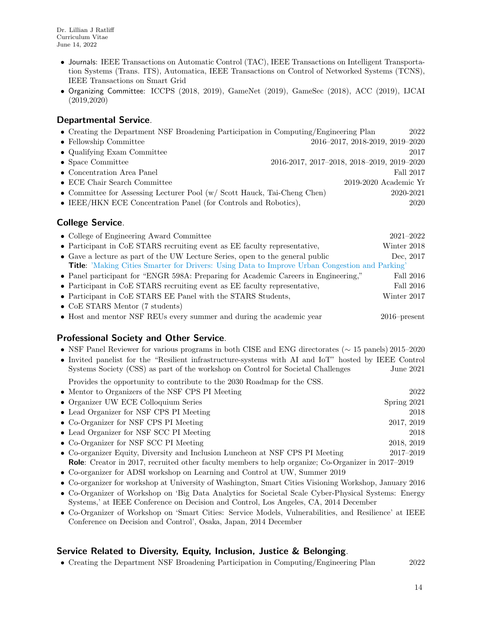- Journals: IEEE Transactions on Automatic Control (TAC), IEEE Transactions on Intelligent Transportation Systems (Trans. ITS), Automatica, IEEE Transactions on Control of Networked Systems (TCNS), IEEE Transactions on Smart Grid
- Organizing Committee: ICCPS (2018, 2019), GameNet (2019), GameSec (2018), ACC (2019), IJCAI (2019,2020)

### Departmental Service.

| • Creating the Department NSF Broadening Participation in Computing/Engineering Plan |                                            | 2022      |
|--------------------------------------------------------------------------------------|--------------------------------------------|-----------|
| • Fellowship Committee                                                               | 2016-2017, 2018-2019, 2019-2020            |           |
| • Qualifying Exam Committee                                                          |                                            | 2017      |
| $\bullet$ Space Committee                                                            | 2016-2017, 2017-2018, 2018-2019, 2019-2020 |           |
| $\bullet$ Concentration Area Panel                                                   |                                            | Fall 2017 |
| • ECE Chair Search Committee                                                         | $2019-2020$ Academic Yr                    |           |
| • Committee for Assessing Lecturer Pool (w/ Scott Hauck, Tai-Cheng Chen)             |                                            | 2020-2021 |
| $\bullet$ IEEE/HKN ECE Concentration Panel (for Controls and Robotics),              |                                            | 2020      |
|                                                                                      |                                            |           |

### College Service.

| • College of Engineering Award Committee                                                              | $2021 - 2022$   |
|-------------------------------------------------------------------------------------------------------|-----------------|
| $\bullet$ Participant in CoE STARS recruiting event as EE faculty representative,                     | Winter 2018     |
| • Gave a lecture as part of the UW Lecture Series, open to the general public                         | Dec, 2017       |
| <b>Title:</b> 'Making Cities Smarter for Drivers: Using Data to Improve Urban Congestion and Parking' |                 |
| • Panel participant for "ENGR 598A: Preparing for Academic Careers in Engineering,"                   | Fall 2016       |
| • Participant in CoE STARS recruiting event as EE faculty representative,                             | Fall 2016       |
| • Participant in CoE STARS EE Panel with the STARS Students,                                          | Winter 2017     |
| $\bullet$ CoE STARS Mentor (7 students)                                                               |                 |
| • Host and mentor NSF REUs every summer and during the academic year                                  | $2016$ -present |

### Professional Society and Other Service.

- NSF Panel Reviewer for various programs in both CISE and ENG directorates (∼ 15 panels) 2015–2020
- Invited panelist for the "Resilient infrastructure-systems with AI and IoT" hosted by IEEE Control Systems Society (CSS) as part of the workshop on Control for Societal Challenges June 2021 Provides the opportunity to contribute to the 2030 Roadmap for the CSS.

| • Mentor to Organizers of the NSF CPS PI Meeting                              | 2022          |
|-------------------------------------------------------------------------------|---------------|
| • Organizer UW ECE Colloquium Series                                          | Spring 2021   |
| • Lead Organizer for NSF CPS PI Meeting                                       | 2018          |
| • Co-Organizer for NSF CPS PI Meeting                                         | 2017, 2019    |
| • Lead Organizer for NSF SCC PI Meeting                                       | 2018          |
| • Co-Organizer for NSF SCC PI Meeting                                         | 2018, 2019    |
| • Co-organizer Equity, Diversity and Inclusion Luncheon at NSF CPS PI Meeting | $2017 - 2019$ |

Role: Creator in 2017, recruited other faculty members to help organize; Co-Organizer in 2017–2019

- Co-organizer for ADSI workshop on Learning and Control at UW, Summer 2019
- Co-organizer for workshop at University of Washington, Smart Cities Visioning Workshop, January 2016
- Co-Organizer of Workshop on 'Big Data Analytics for Societal Scale Cyber-Physical Systems: Energy Systems,' at IEEE Conference on Decision and Control, Los Angeles, CA, 2014 December
- Co-Organizer of Workshop on 'Smart Cities: Service Models, Vulnerabilities, and Resilience' at IEEE Conference on Decision and Control', Osaka, Japan, 2014 December

### Service Related to Diversity, Equity, Inclusion, Justice & Belonging.

• Creating the Department NSF Broadening Participation in Computing/Engineering Plan 2022